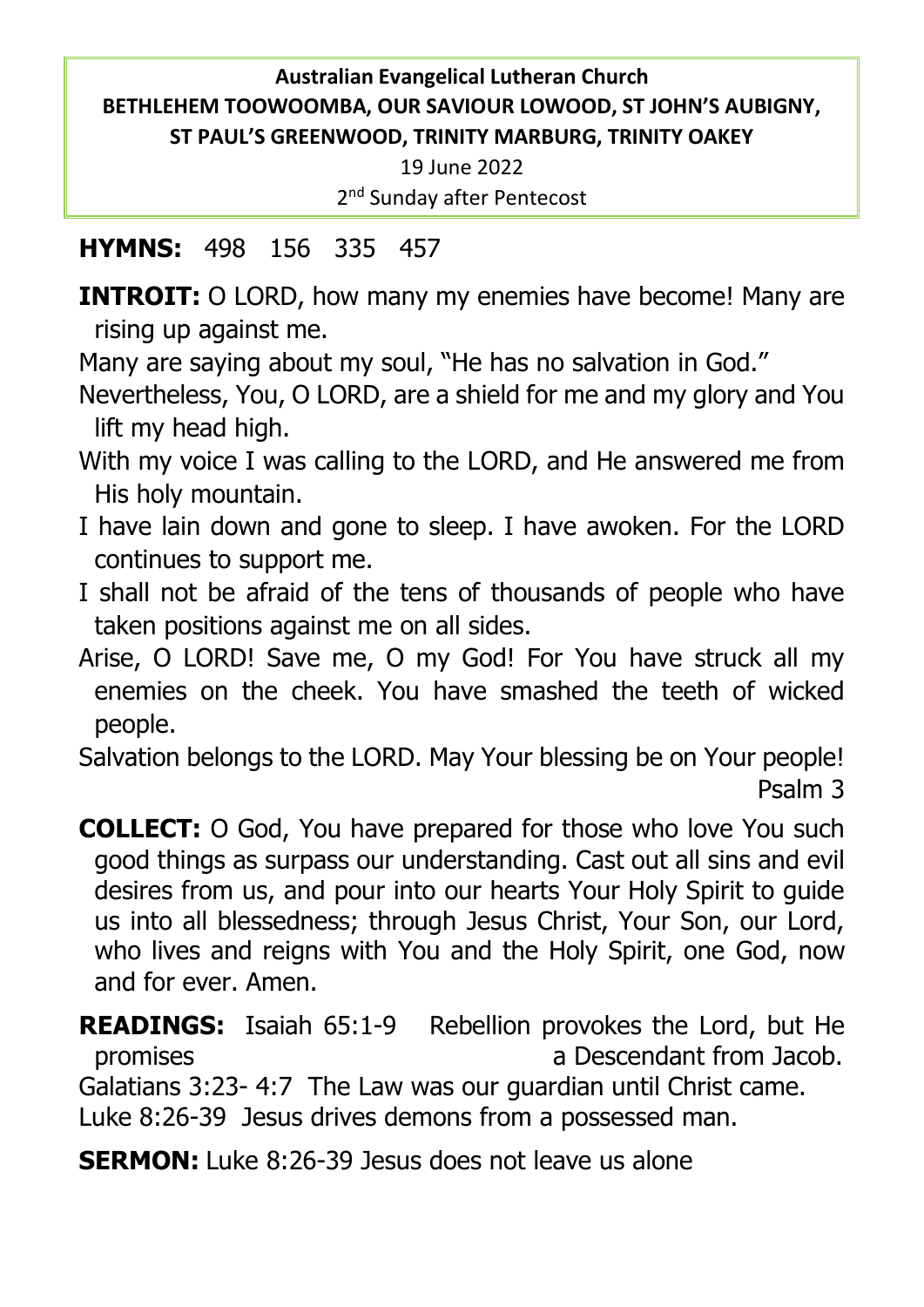## **Australian Evangelical Lutheran Church BETHLEHEM TOOWOOMBA, OUR SAVIOUR LOWOOD, ST JOHN'S AUBIGNY, ST PAUL'S GREENWOOD, TRINITY MARBURG, TRINITY OAKEY**

19 June 2022 2<sup>nd</sup> Sunday after Pentecost

## **HYMNS:** 498 156 335 457

**INTROIT:** O LORD, how many my enemies have become! Many are rising up against me.

Many are saying about my soul, "He has no salvation in God."

Nevertheless, You, O LORD, are a shield for me and my glory and You lift my head high.

- With my voice I was calling to the LORD, and He answered me from His holy mountain.
- I have lain down and gone to sleep. I have awoken. For the LORD continues to support me.
- I shall not be afraid of the tens of thousands of people who have taken positions against me on all sides.
- Arise, O LORD! Save me, O my God! For You have struck all my enemies on the cheek. You have smashed the teeth of wicked people.

Salvation belongs to the LORD. May Your blessing be on Your people! Psalm 3

**COLLECT:** O God, You have prepared for those who love You such good things as surpass our understanding. Cast out all sins and evil desires from us, and pour into our hearts Your Holy Spirit to guide us into all blessedness; through Jesus Christ, Your Son, our Lord, who lives and reigns with You and the Holy Spirit, one God, now and for ever. Amen.

**READINGS:** Isaiah 65:1-9 Rebellion provokes the Lord, but He promises a Descendant from Jacob. Galatians 3:23- 4:7 The Law was our guardian until Christ came. Luke 8:26-39 Jesus drives demons from a possessed man.

**SERMON:** Luke 8:26-39 Jesus does not leave us alone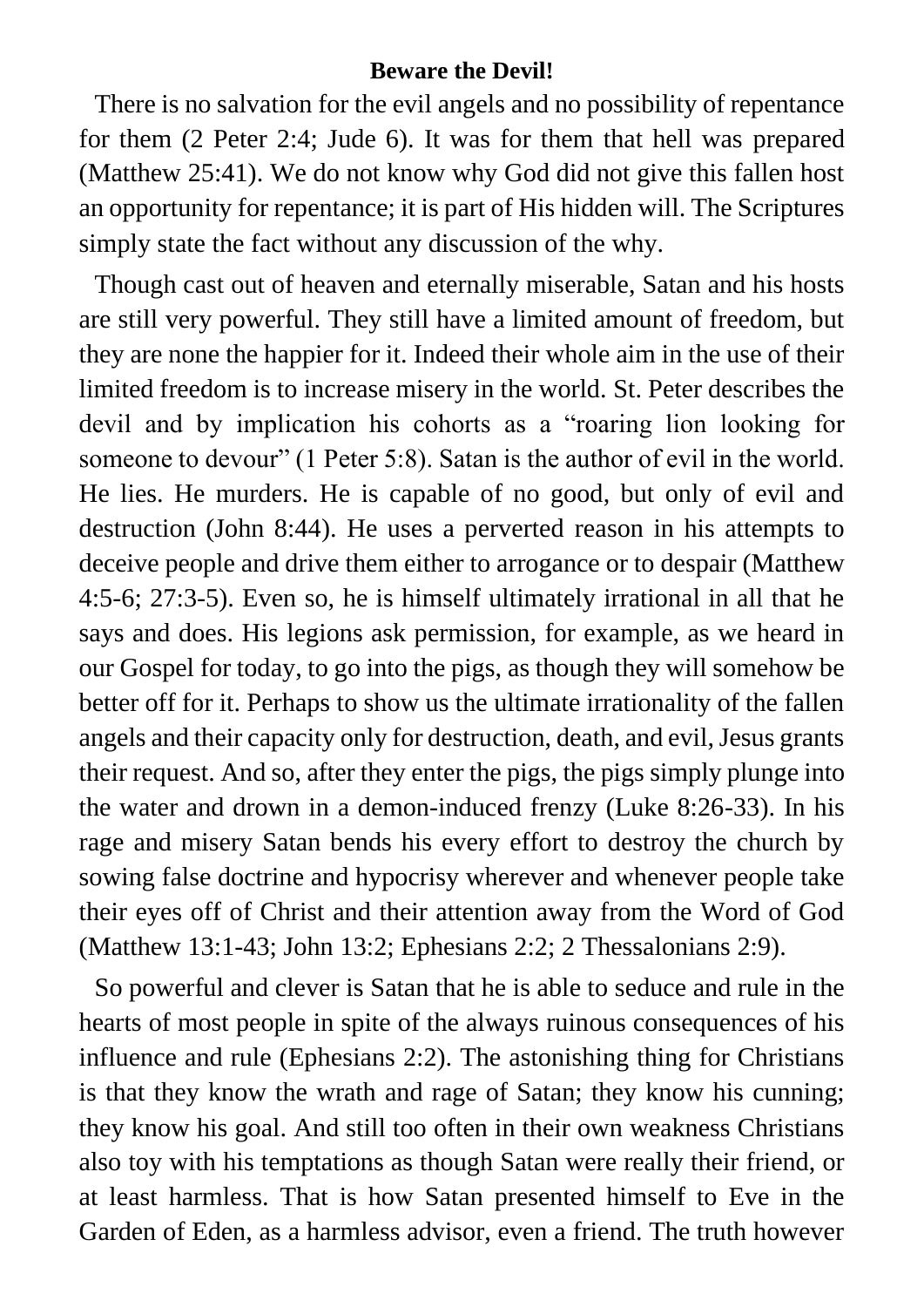#### **Beware the Devil!**

There is no salvation for the evil angels and no possibility of repentance for them (2 Peter 2:4; Jude 6). It was for them that hell was prepared (Matthew 25:41). We do not know why God did not give this fallen host an opportunity for repentance; it is part of His hidden will. The Scriptures simply state the fact without any discussion of the why.

Though cast out of heaven and eternally miserable, Satan and his hosts are still very powerful. They still have a limited amount of freedom, but they are none the happier for it. Indeed their whole aim in the use of their limited freedom is to increase misery in the world. St. Peter describes the devil and by implication his cohorts as a "roaring lion looking for someone to devour" (1 Peter 5:8). Satan is the author of evil in the world. He lies. He murders. He is capable of no good, but only of evil and destruction (John 8:44). He uses a perverted reason in his attempts to deceive people and drive them either to arrogance or to despair (Matthew 4:5-6; 27:3-5). Even so, he is himself ultimately irrational in all that he says and does. His legions ask permission, for example, as we heard in our Gospel for today, to go into the pigs, as though they will somehow be better off for it. Perhaps to show us the ultimate irrationality of the fallen angels and their capacity only for destruction, death, and evil, Jesus grants their request. And so, after they enter the pigs, the pigs simply plunge into the water and drown in a demon-induced frenzy (Luke 8:26-33). In his rage and misery Satan bends his every effort to destroy the church by sowing false doctrine and hypocrisy wherever and whenever people take their eyes off of Christ and their attention away from the Word of God (Matthew 13:1-43; John 13:2; Ephesians 2:2; 2 Thessalonians 2:9).

So powerful and clever is Satan that he is able to seduce and rule in the hearts of most people in spite of the always ruinous consequences of his influence and rule (Ephesians 2:2). The astonishing thing for Christians is that they know the wrath and rage of Satan; they know his cunning; they know his goal. And still too often in their own weakness Christians also toy with his temptations as though Satan were really their friend, or at least harmless. That is how Satan presented himself to Eve in the Garden of Eden, as a harmless advisor, even a friend. The truth however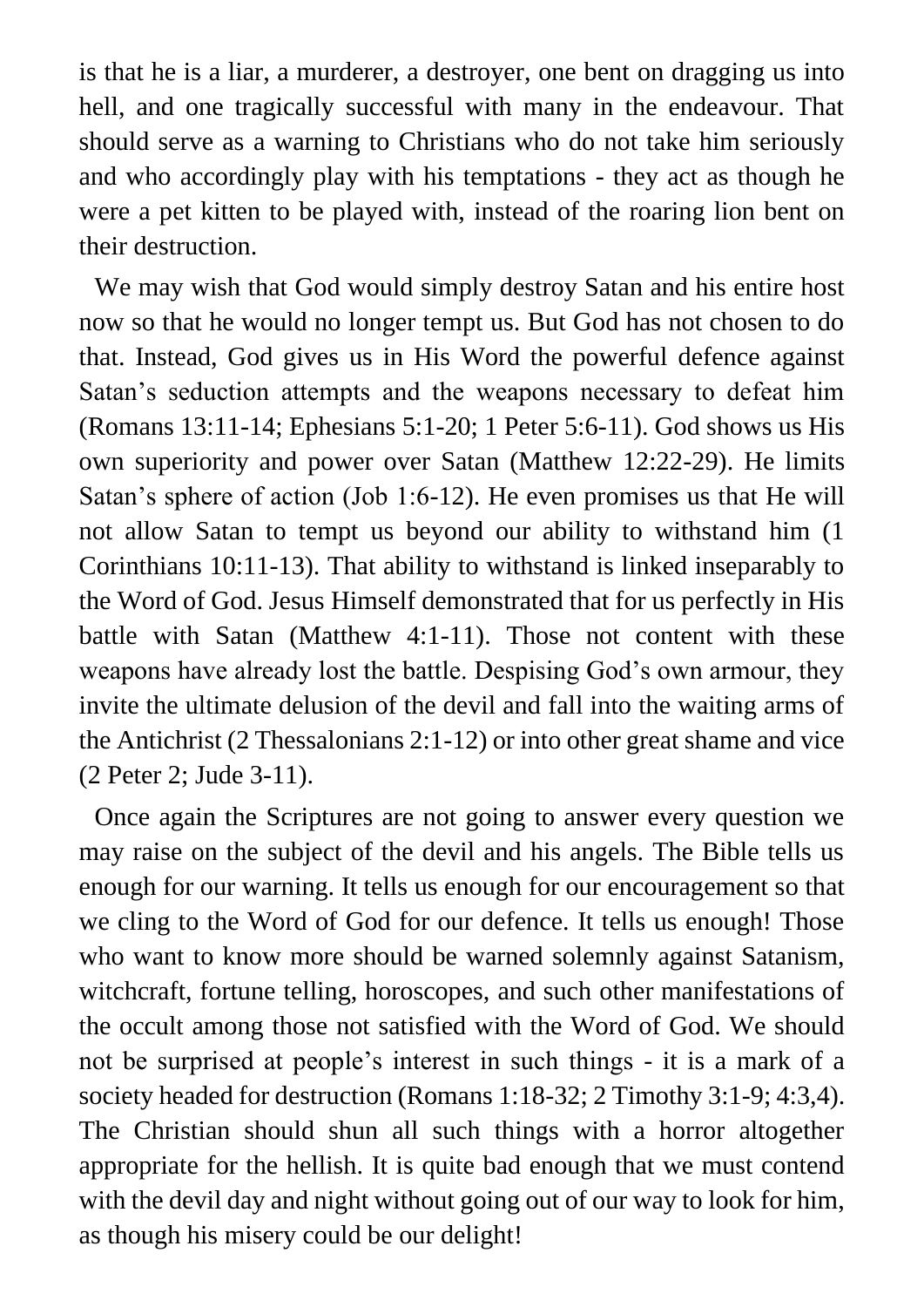is that he is a liar, a murderer, a destroyer, one bent on dragging us into hell, and one tragically successful with many in the endeavour. That should serve as a warning to Christians who do not take him seriously and who accordingly play with his temptations - they act as though he were a pet kitten to be played with, instead of the roaring lion bent on their destruction.

We may wish that God would simply destroy Satan and his entire host now so that he would no longer tempt us. But God has not chosen to do that. Instead, God gives us in His Word the powerful defence against Satan's seduction attempts and the weapons necessary to defeat him (Romans 13:11-14; Ephesians 5:1-20; 1 Peter 5:6-11). God shows us His own superiority and power over Satan (Matthew 12:22-29). He limits Satan's sphere of action (Job 1:6-12). He even promises us that He will not allow Satan to tempt us beyond our ability to withstand him (1 Corinthians 10:11-13). That ability to withstand is linked inseparably to the Word of God. Jesus Himself demonstrated that for us perfectly in His battle with Satan (Matthew 4:1-11). Those not content with these weapons have already lost the battle. Despising God's own armour, they invite the ultimate delusion of the devil and fall into the waiting arms of the Antichrist (2 Thessalonians 2:1-12) or into other great shame and vice (2 Peter 2; Jude 3-11).

Once again the Scriptures are not going to answer every question we may raise on the subject of the devil and his angels. The Bible tells us enough for our warning. It tells us enough for our encouragement so that we cling to the Word of God for our defence. It tells us enough! Those who want to know more should be warned solemnly against Satanism, witchcraft, fortune telling, horoscopes, and such other manifestations of the occult among those not satisfied with the Word of God. We should not be surprised at people's interest in such things - it is a mark of a society headed for destruction (Romans 1:18-32; 2 Timothy 3:1-9; 4:3,4). The Christian should shun all such things with a horror altogether appropriate for the hellish. It is quite bad enough that we must contend with the devil day and night without going out of our way to look for him, as though his misery could be our delight!